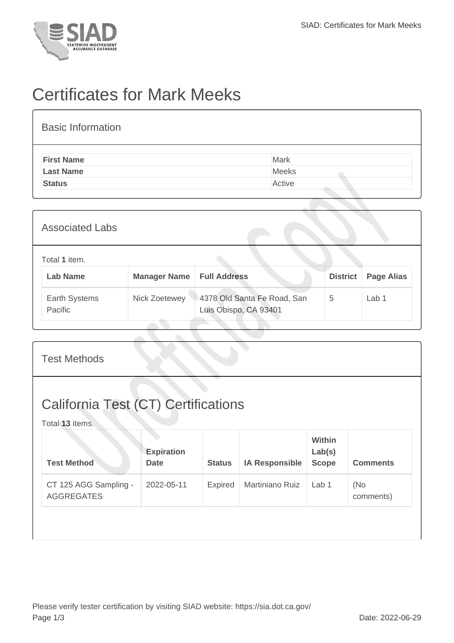

## Certificates for Mark Meeks

| <b>Basic Information</b> |        |
|--------------------------|--------|
| <b>First Name</b>        | Mark   |
| <b>Last Name</b>         | Meeks  |
| <b>Status</b>            | Active |

| <b>Associated Labs</b>           |                                    |                                                      |                 |                   |
|----------------------------------|------------------------------------|------------------------------------------------------|-----------------|-------------------|
| Total 1 item.<br><b>Lab Name</b> | <b>Manager Name   Full Address</b> |                                                      | <b>District</b> | <b>Page Alias</b> |
| Earth Systems<br>Pacific         | Nick Zoetewey                      | 4378 Old Santa Fe Road, San<br>Luis Obispo, CA 93401 | 5               | Lab 1             |

| <b>Test Methods</b>                                           |                                  |               |                       |                                         |                  |  |  |
|---------------------------------------------------------------|----------------------------------|---------------|-----------------------|-----------------------------------------|------------------|--|--|
| <b>California Test (CT) Certifications</b><br>Total 13 items. |                                  |               |                       |                                         |                  |  |  |
| <b>Test Method</b>                                            | <b>Expiration</b><br><b>Date</b> | <b>Status</b> | <b>IA Responsible</b> | <b>Within</b><br>Lab(s)<br><b>Scope</b> | <b>Comments</b>  |  |  |
| CT 125 AGG Sampling -<br><b>AGGREGATES</b>                    | 2022-05-11                       | Expired       | Martiniano Ruiz       | Lab <sub>1</sub>                        | (No<br>comments) |  |  |
|                                                               |                                  |               |                       |                                         |                  |  |  |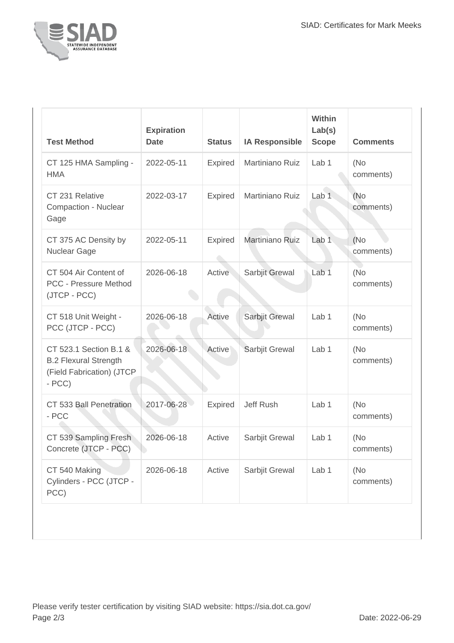

| <b>Test Method</b>                                                                                 | <b>Expiration</b><br><b>Date</b> | <b>Status</b>  | <b>IA Responsible</b> | Within<br>Lab(s)<br><b>Scope</b> | <b>Comments</b>   |
|----------------------------------------------------------------------------------------------------|----------------------------------|----------------|-----------------------|----------------------------------|-------------------|
| CT 125 HMA Sampling -<br><b>HMA</b>                                                                | 2022-05-11                       | <b>Expired</b> | Martiniano Ruiz       | Lab <sub>1</sub>                 | (No)<br>comments) |
| CT 231 Relative<br>Compaction - Nuclear<br>Gage                                                    | 2022-03-17                       | Expired        | Martiniano Ruiz       | Lab <sub>1</sub>                 | (No)<br>comments) |
| CT 375 AC Density by<br>Nuclear Gage                                                               | 2022-05-11                       | <b>Expired</b> | Martiniano Ruiz       | Lab <sub>1</sub>                 | (No)<br>comments) |
| CT 504 Air Content of<br><b>PCC - Pressure Method</b><br>(JTCP - PCC)                              | 2026-06-18                       | Active         | Sarbjit Grewal        | Lab <sub>1</sub>                 | (No<br>comments)  |
| CT 518 Unit Weight -<br>PCC (JTCP - PCC)                                                           | 2026-06-18                       | Active         | Sarbjit Grewal        | Lab 1                            | (No)<br>comments) |
| CT 523.1 Section B.1 &<br><b>B.2 Flexural Strength</b><br>(Field Fabrication) (JTCP<br>$-$ PCC $)$ | 2026-06-18                       | Active         | Sarbjit Grewal        | Lab <sub>1</sub>                 | (No)<br>comments) |
| CT 533 Ball Penetration<br>- PCC                                                                   | 2017-06-28                       | <b>Expired</b> | Jeff Rush             | Lab <sub>1</sub>                 | (No<br>comments)  |
| CT 539 Sampling Fresh<br>Concrete (JTCP - PCC)                                                     | 2026-06-18                       | Active         | Sarbjit Grewal        | Lab 1                            | (No<br>comments)  |
| CT 540 Making<br>Cylinders - PCC (JTCP -<br>PCC)                                                   | 2026-06-18                       | Active         | Sarbjit Grewal        | Lab 1                            | (No<br>comments)  |